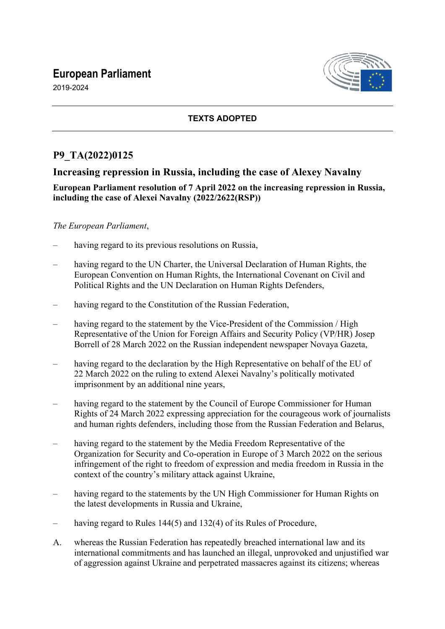# **European Parliament**

2019-2024



### **TEXTS ADOPTED**

## **P9\_TA(2022)0125**

## **Increasing repression in Russia, including the case of Alexey Navalny**

### **European Parliament resolution of 7 April 2022 on the increasing repression in Russia, including the case of Alexei Navalny (2022/2622(RSP))**

### *The European Parliament*,

- having regard to its previous resolutions on Russia,
- having regard to the UN Charter, the Universal Declaration of Human Rights, the European Convention on Human Rights, the International Covenant on Civil and Political Rights and the UN Declaration on Human Rights Defenders,
- having regard to the Constitution of the Russian Federation,
- having regard to the statement by the Vice-President of the Commission / High Representative of the Union for Foreign Affairs and Security Policy (VP/HR) Josep Borrell of 28 March 2022 on the Russian independent newspaper Novaya Gazeta,
- having regard to the declaration by the High Representative on behalf of the EU of 22 March 2022 on the ruling to extend Alexei Navalny's politically motivated imprisonment by an additional nine years,
- having regard to the statement by the Council of Europe Commissioner for Human Rights of 24 March 2022 expressing appreciation for the courageous work of journalists and human rights defenders, including those from the Russian Federation and Belarus,
- having regard to the statement by the Media Freedom Representative of the Organization for Security and Co-operation in Europe of 3 March 2022 on the serious infringement of the right to freedom of expression and media freedom in Russia in the context of the country's military attack against Ukraine,
- having regard to the statements by the UN High Commissioner for Human Rights on the latest developments in Russia and Ukraine,
- having regard to Rules 144(5) and 132(4) of its Rules of Procedure,
- A. whereas the Russian Federation has repeatedly breached international law and its international commitments and has launched an illegal, unprovoked and unjustified war of aggression against Ukraine and perpetrated massacres against its citizens; whereas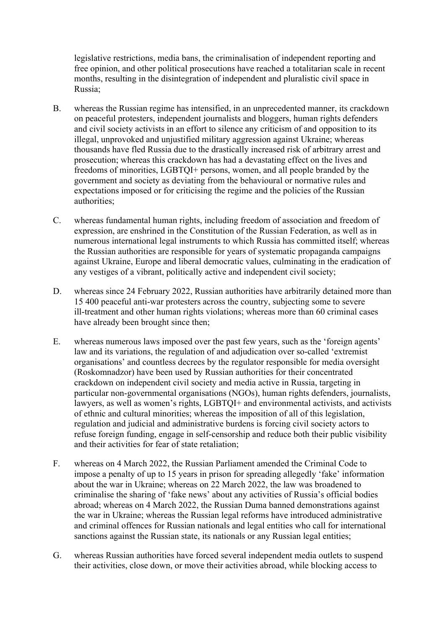legislative restrictions, media bans, the criminalisation of independent reporting and free opinion, and other political prosecutions have reached a totalitarian scale in recent months, resulting in the disintegration of independent and pluralistic civil space in Russia;

- B. whereas the Russian regime has intensified, in an unprecedented manner, its crackdown on peaceful protesters, independent journalists and bloggers, human rights defenders and civil society activists in an effort to silence any criticism of and opposition to its illegal, unprovoked and unjustified military aggression against Ukraine; whereas thousands have fled Russia due to the drastically increased risk of arbitrary arrest and prosecution; whereas this crackdown has had a devastating effect on the lives and freedoms of minorities, LGBTQI+ persons, women, and all people branded by the government and society as deviating from the behavioural or normative rules and expectations imposed or for criticising the regime and the policies of the Russian authorities;
- C. whereas fundamental human rights, including freedom of association and freedom of expression, are enshrined in the Constitution of the Russian Federation, as well as in numerous international legal instruments to which Russia has committed itself; whereas the Russian authorities are responsible for years of systematic propaganda campaigns against Ukraine, Europe and liberal democratic values, culminating in the eradication of any vestiges of a vibrant, politically active and independent civil society;
- D. whereas since 24 February 2022, Russian authorities have arbitrarily detained more than 15 400 peaceful anti-war protesters across the country, subjecting some to severe ill-treatment and other human rights violations; whereas more than 60 criminal cases have already been brought since then;
- E. whereas numerous laws imposed over the past few years, such as the 'foreign agents' law and its variations, the regulation of and adjudication over so-called 'extremist organisations' and countless decrees by the regulator responsible for media oversight (Roskomnadzor) have been used by Russian authorities for their concentrated crackdown on independent civil society and media active in Russia, targeting in particular non-governmental organisations (NGOs), human rights defenders, journalists, lawyers, as well as women's rights, LGBTQI+ and environmental activists, and activists of ethnic and cultural minorities; whereas the imposition of all of this legislation, regulation and judicial and administrative burdens is forcing civil society actors to refuse foreign funding, engage in self-censorship and reduce both their public visibility and their activities for fear of state retaliation;
- F. whereas on 4 March 2022, the Russian Parliament amended the Criminal Code to impose a penalty of up to 15 years in prison for spreading allegedly 'fake' information about the war in Ukraine; whereas on 22 March 2022, the law was broadened to criminalise the sharing of 'fake news' about any activities of Russia's official bodies abroad; whereas on 4 March 2022, the Russian Duma banned demonstrations against the war in Ukraine; whereas the Russian legal reforms have introduced administrative and criminal offences for Russian nationals and legal entities who call for international sanctions against the Russian state, its nationals or any Russian legal entities;
- G. whereas Russian authorities have forced several independent media outlets to suspend their activities, close down, or move their activities abroad, while blocking access to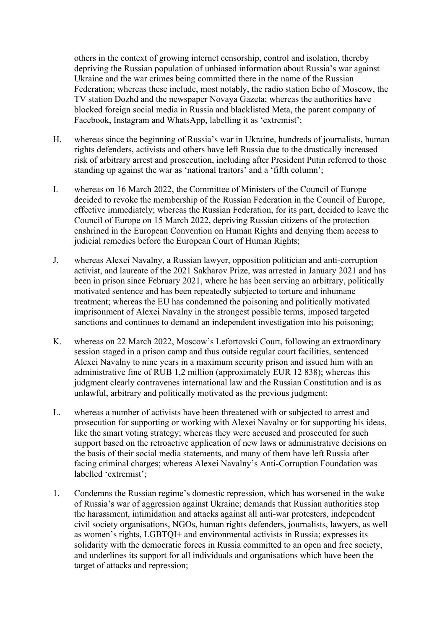others in the context of growing internet censorship, control and isolation, thereby depriving the Russian population of unbiased information about Russia's war against Ukraine and the war crimes being committed there in the name of the Russian Federation; whereas these include, most notably, the radio station Echo of Moscow, the TV station Dozhd and the newspaper Novaya Gazeta; whereas the authorities have blocked foreign social media in Russia and blacklisted Meta, the parent company of Facebook, Instagram and WhatsApp, labelling it as 'extremist';

- H. whereas since the beginning of Russia's war in Ukraine, hundreds of journalists, human rights defenders, activists and others have left Russia due to the drastically increased risk of arbitrary arrest and prosecution, including after President Putin referred to those standing up against the war as 'national traitors' and a 'fifth column';
- I. whereas on 16 March 2022, the Committee of Ministers of the Council of Europe decided to revoke the membership of the Russian Federation in the Council of Europe, effective immediately; whereas the Russian Federation, for its part, decided to leave the Council of Europe on 15 March 2022, depriving Russian citizens of the protection enshrined in the European Convention on Human Rights and denying them access to judicial remedies before the European Court of Human Rights;
- J. whereas Alexei Navalny, a Russian lawyer, opposition politician and anti-corruption activist, and laureate of the 2021 Sakharov Prize, was arrested in January 2021 and has been in prison since February 2021, where he has been serving an arbitrary, politically motivated sentence and has been repeatedly subjected to torture and inhumane treatment; whereas the EU has condemned the poisoning and politically motivated imprisonment of Alexei Navalny in the strongest possible terms, imposed targeted sanctions and continues to demand an independent investigation into his poisoning;
- K. whereas on 22 March 2022, Moscow's Lefortovski Court, following an extraordinary session staged in a prison camp and thus outside regular court facilities, sentenced Alexei Navalny to nine years in a maximum security prison and issued him with an administrative fine of RUB 1,2 million (approximately EUR 12 838); whereas this judgment clearly contravenes international law and the Russian Constitution and is as unlawful, arbitrary and politically motivated as the previous judgment;
- L. whereas a number of activists have been threatened with or subjected to arrest and prosecution for supporting or working with Alexei Navalny or for supporting his ideas, like the smart voting strategy; whereas they were accused and prosecuted for such support based on the retroactive application of new laws or administrative decisions on the basis of their social media statements, and many of them have left Russia after facing criminal charges; whereas Alexei Navalny's Anti-Corruption Foundation was labelled 'extremist';
- 1. Condemns the Russian regime's domestic repression, which has worsened in the wake of Russia's war of aggression against Ukraine; demands that Russian authorities stop the harassment, intimidation and attacks against all anti-war protesters, independent civil society organisations, NGOs, human rights defenders, journalists, lawyers, as well as women's rights, LGBTQI+ and environmental activists in Russia; expresses its solidarity with the democratic forces in Russia committed to an open and free society, and underlines its support for all individuals and organisations which have been the target of attacks and repression;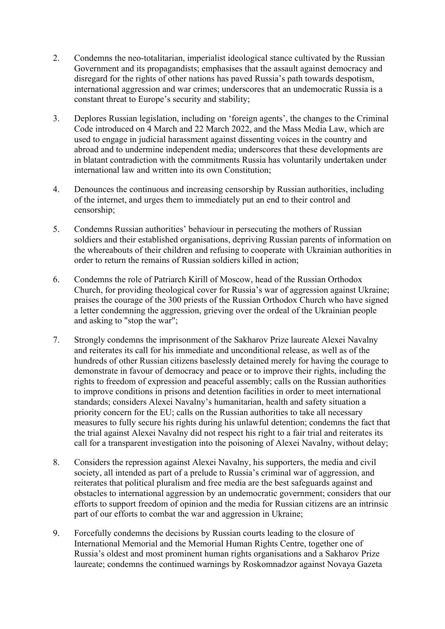- 2. Condemns the neo-totalitarian, imperialist ideological stance cultivated by the Russian Government and its propagandists; emphasises that the assault against democracy and disregard for the rights of other nations has paved Russia's path towards despotism, international aggression and war crimes; underscores that an undemocratic Russia is a constant threat to Europe's security and stability;
- 3. Deplores Russian legislation, including on 'foreign agents', the changes to the Criminal Code introduced on 4 March and 22 March 2022, and the Mass Media Law, which are used to engage in judicial harassment against dissenting voices in the country and abroad and to undermine independent media; underscores that these developments are in blatant contradiction with the commitments Russia has voluntarily undertaken under international law and written into its own Constitution;
- 4. Denounces the continuous and increasing censorship by Russian authorities, including of the internet, and urges them to immediately put an end to their control and censorship;
- 5. Condemns Russian authorities' behaviour in persecuting the mothers of Russian soldiers and their established organisations, depriving Russian parents of information on the whereabouts of their children and refusing to cooperate with Ukrainian authorities in order to return the remains of Russian soldiers killed in action;
- 6. Condemns the role of Patriarch Kirill of Moscow, head of the Russian Orthodox Church, for providing theological cover for Russia's war of aggression against Ukraine; praises the courage of the 300 priests of the Russian Orthodox Church who have signed a letter condemning the aggression, grieving over the ordeal of the Ukrainian people and asking to "stop the war";
- 7. Strongly condemns the imprisonment of the Sakharov Prize laureate Alexei Navalny and reiterates its call for his immediate and unconditional release, as well as of the hundreds of other Russian citizens baselessly detained merely for having the courage to demonstrate in favour of democracy and peace or to improve their rights, including the rights to freedom of expression and peaceful assembly; calls on the Russian authorities to improve conditions in prisons and detention facilities in order to meet international standards; considers Alexei Navalny's humanitarian, health and safety situation a priority concern for the EU; calls on the Russian authorities to take all necessary measures to fully secure his rights during his unlawful detention; condemns the fact that the trial against Alexei Navalny did not respect his right to a fair trial and reiterates its call for a transparent investigation into the poisoning of Alexei Navalny, without delay;
- 8. Considers the repression against Alexei Navalny, his supporters, the media and civil society, all intended as part of a prelude to Russia's criminal war of aggression, and reiterates that political pluralism and free media are the best safeguards against and obstacles to international aggression by an undemocratic government; considers that our efforts to support freedom of opinion and the media for Russian citizens are an intrinsic part of our efforts to combat the war and aggression in Ukraine;
- 9. Forcefully condemns the decisions by Russian courts leading to the closure of International Memorial and the Memorial Human Rights Centre, together one of Russia's oldest and most prominent human rights organisations and a Sakharov Prize laureate; condemns the continued warnings by Roskomnadzor against Novaya Gazeta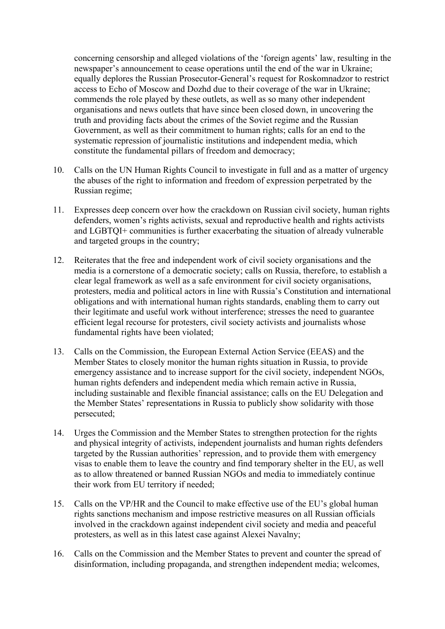concerning censorship and alleged violations of the 'foreign agents' law, resulting in the newspaper's announcement to cease operations until the end of the war in Ukraine; equally deplores the Russian Prosecutor-General's request for Roskomnadzor to restrict access to Echo of Moscow and Dozhd due to their coverage of the war in Ukraine; commends the role played by these outlets, as well as so many other independent organisations and news outlets that have since been closed down, in uncovering the truth and providing facts about the crimes of the Soviet regime and the Russian Government, as well as their commitment to human rights; calls for an end to the systematic repression of journalistic institutions and independent media, which constitute the fundamental pillars of freedom and democracy;

- 10. Calls on the UN Human Rights Council to investigate in full and as a matter of urgency the abuses of the right to information and freedom of expression perpetrated by the Russian regime;
- 11. Expresses deep concern over how the crackdown on Russian civil society, human rights defenders, women's rights activists, sexual and reproductive health and rights activists and LGBTQI+ communities is further exacerbating the situation of already vulnerable and targeted groups in the country;
- 12. Reiterates that the free and independent work of civil society organisations and the media is a cornerstone of a democratic society; calls on Russia, therefore, to establish a clear legal framework as well as a safe environment for civil society organisations, protesters, media and political actors in line with Russia's Constitution and international obligations and with international human rights standards, enabling them to carry out their legitimate and useful work without interference; stresses the need to guarantee efficient legal recourse for protesters, civil society activists and journalists whose fundamental rights have been violated;
- 13. Calls on the Commission, the European External Action Service (EEAS) and the Member States to closely monitor the human rights situation in Russia, to provide emergency assistance and to increase support for the civil society, independent NGOs, human rights defenders and independent media which remain active in Russia, including sustainable and flexible financial assistance; calls on the EU Delegation and the Member States' representations in Russia to publicly show solidarity with those persecuted;
- 14. Urges the Commission and the Member States to strengthen protection for the rights and physical integrity of activists, independent journalists and human rights defenders targeted by the Russian authorities' repression, and to provide them with emergency visas to enable them to leave the country and find temporary shelter in the EU, as well as to allow threatened or banned Russian NGOs and media to immediately continue their work from EU territory if needed;
- 15. Calls on the VP/HR and the Council to make effective use of the EU's global human rights sanctions mechanism and impose restrictive measures on all Russian officials involved in the crackdown against independent civil society and media and peaceful protesters, as well as in this latest case against Alexei Navalny;
- 16. Calls on the Commission and the Member States to prevent and counter the spread of disinformation, including propaganda, and strengthen independent media; welcomes,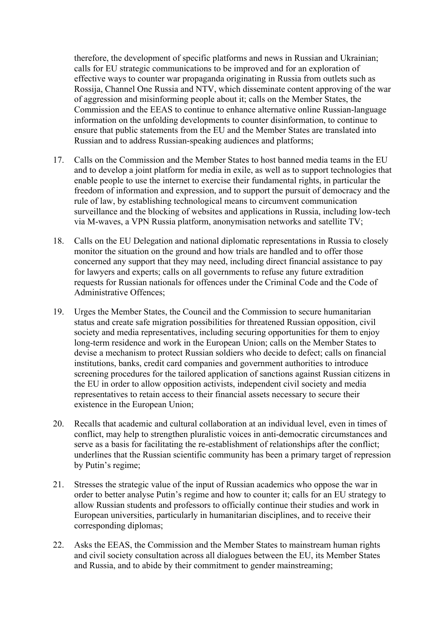therefore, the development of specific platforms and news in Russian and Ukrainian; calls for EU strategic communications to be improved and for an exploration of effective ways to counter war propaganda originating in Russia from outlets such as Rossija, Channel One Russia and NTV, which disseminate content approving of the war of aggression and misinforming people about it; calls on the Member States, the Commission and the EEAS to continue to enhance alternative online Russian-language information on the unfolding developments to counter disinformation, to continue to ensure that public statements from the EU and the Member States are translated into Russian and to address Russian-speaking audiences and platforms;

- 17. Calls on the Commission and the Member States to host banned media teams in the EU and to develop a joint platform for media in exile, as well as to support technologies that enable people to use the internet to exercise their fundamental rights, in particular the freedom of information and expression, and to support the pursuit of democracy and the rule of law, by establishing technological means to circumvent communication surveillance and the blocking of websites and applications in Russia, including low-tech via M-waves, a VPN Russia platform, anonymisation networks and satellite TV;
- 18. Calls on the EU Delegation and national diplomatic representations in Russia to closely monitor the situation on the ground and how trials are handled and to offer those concerned any support that they may need, including direct financial assistance to pay for lawyers and experts; calls on all governments to refuse any future extradition requests for Russian nationals for offences under the Criminal Code and the Code of Administrative Offences;
- 19. Urges the Member States, the Council and the Commission to secure humanitarian status and create safe migration possibilities for threatened Russian opposition, civil society and media representatives, including securing opportunities for them to enjoy long-term residence and work in the European Union; calls on the Member States to devise a mechanism to protect Russian soldiers who decide to defect; calls on financial institutions, banks, credit card companies and government authorities to introduce screening procedures for the tailored application of sanctions against Russian citizens in the EU in order to allow opposition activists, independent civil society and media representatives to retain access to their financial assets necessary to secure their existence in the European Union;
- 20. Recalls that academic and cultural collaboration at an individual level, even in times of conflict, may help to strengthen pluralistic voices in anti-democratic circumstances and serve as a basis for facilitating the re-establishment of relationships after the conflict; underlines that the Russian scientific community has been a primary target of repression by Putin's regime;
- 21. Stresses the strategic value of the input of Russian academics who oppose the war in order to better analyse Putin's regime and how to counter it; calls for an EU strategy to allow Russian students and professors to officially continue their studies and work in European universities, particularly in humanitarian disciplines, and to receive their corresponding diplomas;
- 22. Asks the EEAS, the Commission and the Member States to mainstream human rights and civil society consultation across all dialogues between the EU, its Member States and Russia, and to abide by their commitment to gender mainstreaming;